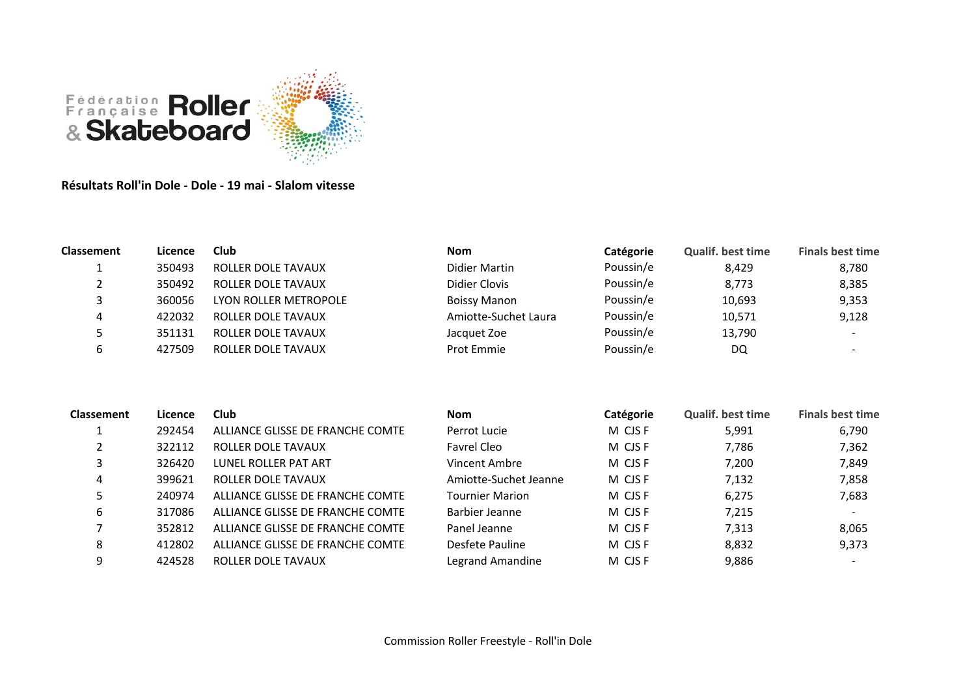

**Résultats Roll'in Dole - Dole - 19 mai - Slalom vitesse**

| Classement | Licence | Club                  | <b>Nom</b>           | Catégorie | <b>Qualif. best time</b> | <b>Finals best time</b> |
|------------|---------|-----------------------|----------------------|-----------|--------------------------|-------------------------|
|            | 350493  | ROLLER DOLE TAVAUX    | Didier Martin        | Poussin/e | 8,429                    | 8,780                   |
| ∠          | 350492  | ROLLER DOLE TAVAUX    | Didier Clovis        | Poussin/e | 8,773                    | 8,385                   |
| 3          | 360056  | LYON ROLLER METROPOLE | <b>Boissy Manon</b>  | Poussin/e | 10,693                   | 9,353                   |
| 4          | 422032  | ROLLER DOLE TAVAUX    | Amiotte-Suchet Laura | Poussin/e | 10,571                   | 9,128                   |
| כ          | 351131  | ROLLER DOLE TAVAUX    | Jacquet Zoe          | Poussin/e | 13,790                   |                         |
| ь          | 427509  | ROLLER DOLE TAVAUX    | Prot Emmie           | Poussin/e | DQ                       |                         |
|            |         |                       |                      |           |                          |                         |
|            |         |                       |                      |           |                          |                         |
|            |         |                       |                      |           |                          |                         |

| Classement | Licence | Club                             | <b>Nom</b>             | Catégorie | <b>Qualif. best time</b> | <b>Finals best time</b> |
|------------|---------|----------------------------------|------------------------|-----------|--------------------------|-------------------------|
|            | 292454  | ALLIANCE GLISSE DE FRANCHE COMTE | Perrot Lucie           | M CJS F   | 5,991                    | 6,790                   |
|            | 322112  | ROLLER DOLE TAVAUX               | Favrel Cleo            | M CJS F   | 7,786                    | 7,362                   |
|            | 326420  | LUNEL ROLLER PAT ART             | Vincent Ambre          | M CJS F   | 7,200                    | 7,849                   |
| 4          | 399621  | ROLLER DOLE TAVAUX               | Amiotte-Suchet Jeanne  | M CJS F   | 7,132                    | 7,858                   |
|            | 240974  | ALLIANCE GLISSE DE FRANCHE COMTE | <b>Tournier Marion</b> | M CJS F   | 6,275                    | 7,683                   |
| 6          | 317086  | ALLIANCE GLISSE DE FRANCHE COMTE | Barbier Jeanne         | M CJS F   | 7,215                    |                         |
|            | 352812  | ALLIANCE GLISSE DE FRANCHE COMTE | Panel Jeanne           | M CJS F   | 7,313                    | 8,065                   |
| 8          | 412802  | ALLIANCE GLISSE DE FRANCHE COMTE | Desfete Pauline        | M CJS F   | 8,832                    | 9,373                   |
| 9          | 424528  | ROLLER DOLE TAVAUX               | Legrand Amandine       | M CJS F   | 9,886                    |                         |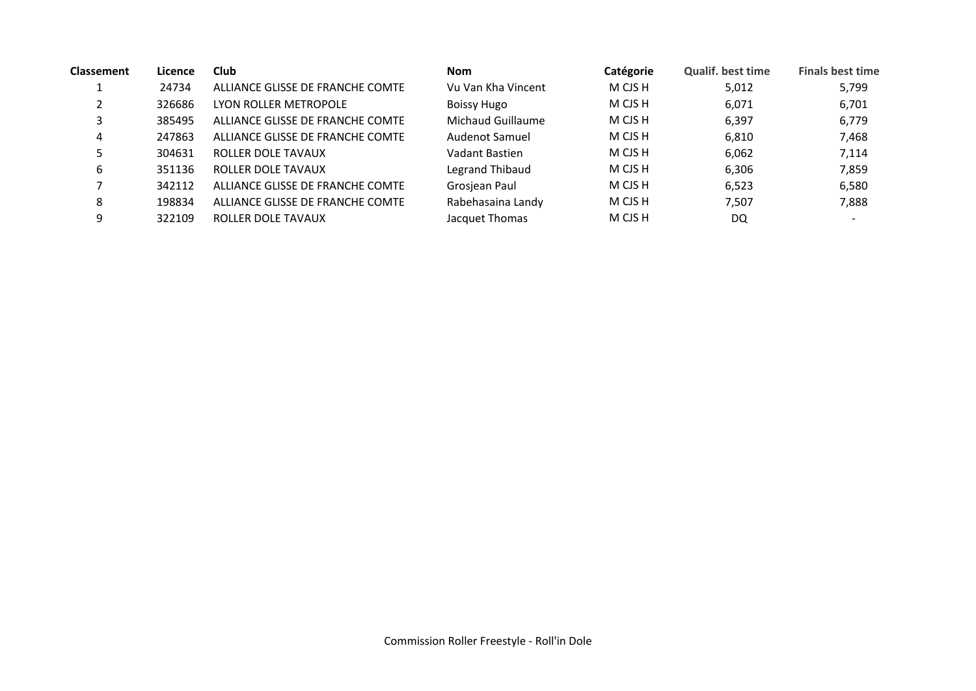| <b>Classement</b> | Licence | Club                             | <b>Nom</b>         | Catégorie | <b>Qualif. best time</b> | <b>Finals best time</b>  |
|-------------------|---------|----------------------------------|--------------------|-----------|--------------------------|--------------------------|
|                   | 24734   | ALLIANCE GLISSE DE FRANCHE COMTE | Vu Van Kha Vincent | M CJS H   | 5,012                    | 5,799                    |
|                   | 326686  | LYON ROLLER METROPOLE            | <b>Boissy Hugo</b> | M CJS H   | 6,071                    | 6,701                    |
| 3                 | 385495  | ALLIANCE GLISSE DE FRANCHE COMTE | Michaud Guillaume  | M CJS H   | 6,397                    | 6,779                    |
| 4                 | 247863  | ALLIANCE GLISSE DE FRANCHE COMTE | Audenot Samuel     | M CJS H   | 6,810                    | 7,468                    |
| 5                 | 304631  | ROLLER DOLE TAVAUX               | Vadant Bastien     | M CJS H   | 6,062                    | 7,114                    |
| 6                 | 351136  | ROLLER DOLE TAVAUX               | Legrand Thibaud    | M CJS H   | 6,306                    | 7,859                    |
|                   | 342112  | ALLIANCE GLISSE DE FRANCHE COMTE | Grosjean Paul      | M CJS H   | 6,523                    | 6,580                    |
| 8                 | 198834  | ALLIANCE GLISSE DE FRANCHE COMTE | Rabehasaina Landy  | M CJS H   | 7,507                    | 7,888                    |
| 9                 | 322109  | ROLLER DOLE TAVAUX               | Jacquet Thomas     | M CJS H   | DQ                       | $\overline{\phantom{0}}$ |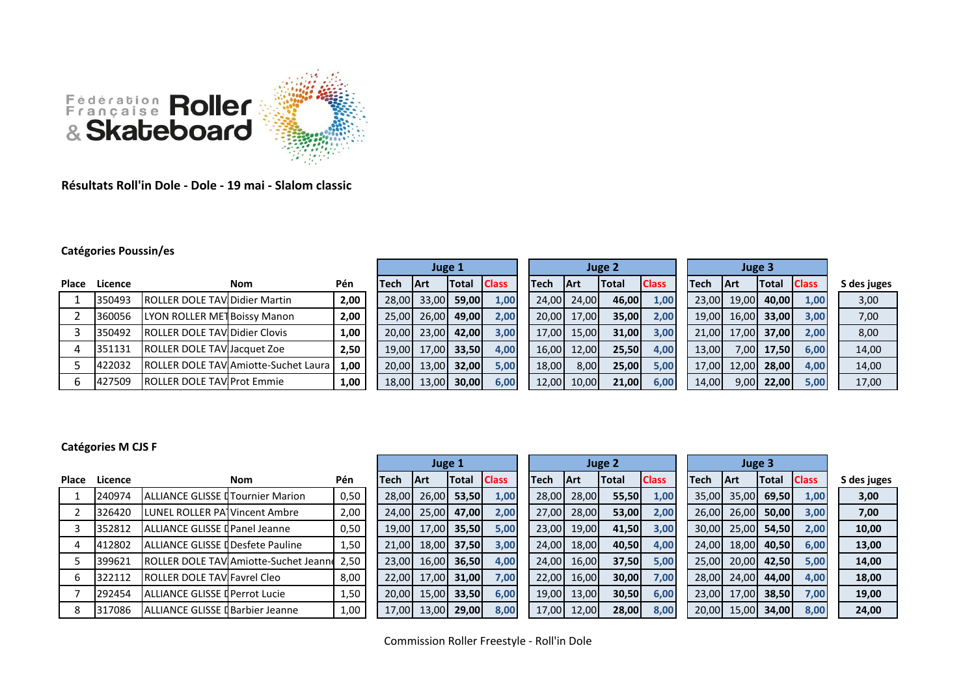

**Résultats Roll'in Dole - Dole - 19 mai - Slalom classic**

## **Catégories Poussin/es**

|              |         |                                       |                                      |      |        | Juge 1      |                    |      |                |             | Juge 2 |              |       |       | Juge 3       |              |             |
|--------------|---------|---------------------------------------|--------------------------------------|------|--------|-------------|--------------------|------|----------------|-------------|--------|--------------|-------|-------|--------------|--------------|-------------|
| <b>Place</b> | Licence |                                       | <b>Nom</b>                           | Pén  | Tech   | <b>IArt</b> | <b>Total Class</b> |      | lTech.         | <b>IArt</b> | Total  | <b>Class</b> | lTech | 1 Art | <b>Total</b> | <b>Class</b> | S des juges |
|              | 350493  | <b>IROLLER DOLE TAVIDidier Martin</b> |                                      | 2,00 | 28.00L | 33,00       | 59,00              | 1,00 | 24.00          | 24,00       | 46,00  | 1,00         | 23,00 | 19,00 | 40.00        | 1,00         | 3,00        |
|              | 360056  | LYON ROLLER MET Boissy Manon          |                                      | 2,00 | 25,00  | 26,00       | 49,00              | 2,00 |                | 20,00 17,00 | 35,00  | 2,00         | 19,00 | 16,00 | 33,00        | 3,00         | 7,00        |
|              | 350492  | <b>ROLLER DOLE TAVIDidier Clovis</b>  |                                      | 1,00 | 20,00  | 23,00       | 42,00              | 3,00 | 17.00 <b>1</b> | 15,00       | 31,00  | 3,00         | 21.00 | 17.00 | 37,00        | 2,00         | 8,00        |
|              | 351131  | <b>ROLLER DOLE TAVIJacquet Zoe</b>    |                                      | 2,50 | 19,00  | 17,00       | 33,50              | 4,00 | 16,00          | 12,00       | 25,50  | 4,00         | 13,00 | 7,00  | 17,50        | 6,00         | 14,00       |
|              | 422032  |                                       | ROLLER DOLE TAV Amiotte-Suchet Laura | 1.00 | 20,00  | 13.00       | 32.00              | 5,00 | 18,00          | 8,00        | 25,00  | 5,00         | 17.00 | 12.00 | <b>28.00</b> | 4,00         | 14,00       |
|              | 427509  | <b>ROLLER DOLE TAV Prot Emmie</b>     |                                      | 1,00 | 18,00  | 13,00       | 30,00              | 6,00 | 12,00          | 10,00       | 21,00  | 6,00         | 14,00 | 9,00  | 22,00        | 5,00         | 17,00       |

## **Catégories M CJS F**

| Place | Licence |                                           | <b>Nom</b>                                    | <b>Pén</b> | Tech  | <b>IArt</b> | <b>Total</b> | <b>Class</b> | Tech  | <b>IArt</b> | <b>Total</b> | <b>Class</b> | <b>Tech</b> | <b>Art</b> | <b>Total</b> | <b>Class</b> | S des juges |
|-------|---------|-------------------------------------------|-----------------------------------------------|------------|-------|-------------|--------------|--------------|-------|-------------|--------------|--------------|-------------|------------|--------------|--------------|-------------|
|       | 240974  | <b>JALLIANCE GLISSE LITournier Marion</b> |                                               | 0,50       | 28,00 | 26,00       | 53,50        | 1,00         | 28,00 | 28,00       | 55,50        | 1,00         | 35.00       | 35.00      | 69,50        | 1,00         | 3,00        |
|       | 326420  | <b>ILUNEL ROLLER PATVincent Ambre</b>     |                                               | 2,00       | 24.00 | 25.00       | 47,00        | 2,00         | 27.00 | 28,00       | 53,00        | 2,00         | 26.00       | 26.00      | 50,00        | 3,00         | 7,00        |
|       | 352812  | ALLIANCE GLISSE I Panel Jeanne            |                                               | 0,50       | 19,00 | 17,00       | 35,50        | 5,00         | 23,00 | 19,00       | 41,50        | 3,00         | 30.00       | 25.00      | 54,50        | 2,00         | 10,00       |
|       | 412802  | <b>ALLIANCE GLISSE II Desfete Pauline</b> |                                               | 1,50       | 21.00 | 18,00       | 37,50        | 3,00         | 24,00 | 18,00       | 40,50        | 4,00         | 24.00       | 18.00      | 40,50        | 6,00         | 13,00       |
|       | 399621  |                                           | <b>IROLLER DOLE TAVIAmiotte-Suchet Jeanne</b> | 2,50       | 23.00 | 16,00       | 36,50        | 4,00         | 24.00 | 16,00       | 37,50        | 5,00         | 25.00       | 20.00      | 42.50        | 5,00         | 14,00       |
|       | 322112  | <b>ROLLER DOLE TAVIFavrel Cleo</b>        |                                               | 8,00       | 22.00 | 17,00       | 31,00        | 7,00         | 22,00 | 16,00       | 30,00        | 7,00         | 28.00       | 24.00      | 44.00        | 4,00         | 18,00       |
|       | 292454  | ALLIANCE GLISSE I Perrot Lucie            |                                               | 1,50       | 20.00 | 15.00l      | 33,50        | 6,00         | 19.00 | 13.00       | 30,50        | 6,00         | 23.00       | 17.00      | 38.50        | 7,00         | 19,00       |
|       | 317086  | ALLIANCE GLISSE I Barbier Jeanne          |                                               | 1,00       | 17,00 | 13.00       | 29,00        | 8,00         | 17,00 | 12.00       | 28,00        | 8,00         | 20,00       | 15.00      | 34,00        | 8,00         | 24,00       |

|       |       | Juge 1       |              |                |
|-------|-------|--------------|--------------|----------------|
| Tech  | Art   | <b>Total</b> | <b>Class</b> | Te             |
| 28,00 | 26,00 | 53,50        | 1,00         | $\overline{c}$ |
| 24,00 | 25,00 | 47,00        | 2,00         | $\overline{c}$ |
| 19,00 | 17,00 | 35,50        | 5,00         | $\overline{2}$ |
| 21,00 | 18,00 | 37,50        | 3,00         | $\overline{2}$ |
| 23,00 | 16,00 | 36,50        | 4,00         | $\overline{c}$ |
| 22,00 | 17,00 | 31,00        | 7,00         | $\overline{2}$ |
| 20,00 | 15,00 | 33,50        | 6,00         | $\overline{1}$ |
| 17,00 | 13,00 | 29,00        | 8,00         | $\overline{1}$ |

|     | Juge 1       |              |        |        | Juge 2       |              |             | <b>Juge 3</b> |     |
|-----|--------------|--------------|--------|--------|--------------|--------------|-------------|---------------|-----|
|     | <b>Total</b> | <b>Class</b> | Tech   | Art    | <b>Total</b> | <b>Class</b> | <b>Tech</b> | Art           | Tot |
| ,00 | 53,50        | 1,00         | 28,00  | 28,00  | 55,50        | 1,00         | 35,00       | 35,00         | 69  |
| ,00 | 47,00        | 2,00         | 27,00  | 28,00  | 53,00        | 2,00         | 26,00       | 26,00         | 50  |
| ,00 | 35,50        | $5,00$       | 23,00  | 19,00  | 41,50        | 3,00         | 30,00       | 25,00         | 54  |
| ,00 | 37,50        | 3,00         | 24,00  | 18,00  | 40,50        | 4,00         | 24,00       | 18,00         | 40  |
| ,00 | 36,50        | 4,00         | 24,00  | 16,00  | 37,50        | $5,00$       | 25,00       | 20,00         | 42  |
| ,00 | 31,00        | 7,00         | 22,00  | 16,00  | 30,00        | 7,00         | 28,00       | 24,00         | 44  |
| ,00 | 33,50        | 6,00         | 19,00  | 13,00  | 30,50        | 6,00         | 23,00       | 17,00         | 38  |
| nni | 29 OOI       | 8.00         | 17.00L | 12.00L | 28.00I       | 800          | 20 OOI      | 15.00I        | 34  |

|    |       | Juge 3 |              |             |
|----|-------|--------|--------------|-------------|
|    | Art   | Total  | <b>Class</b> | S des juges |
| Ю  | 35,00 | 69,50  | 1,00         | 3,00        |
| Ю  | 26,00 | 50,00  | 3,00         | 7,00        |
| Ю  | 25,00 | 54,50  | 2,00         | 10,00       |
| Ю  | 18,00 | 40,50  | 6,00         | 13,00       |
| IO | 20,00 | 42,50  | 5,00         | 14,00       |
| IO | 24,00 | 44,00  | 4,00         | 18,00       |
| IO | 17,00 | 38,50  | 7,00         | 19,00       |
| O  | 15.00 | 34.00  | 8.00         | 24.00       |

Commission Roller Freestyle - Roll'in Dole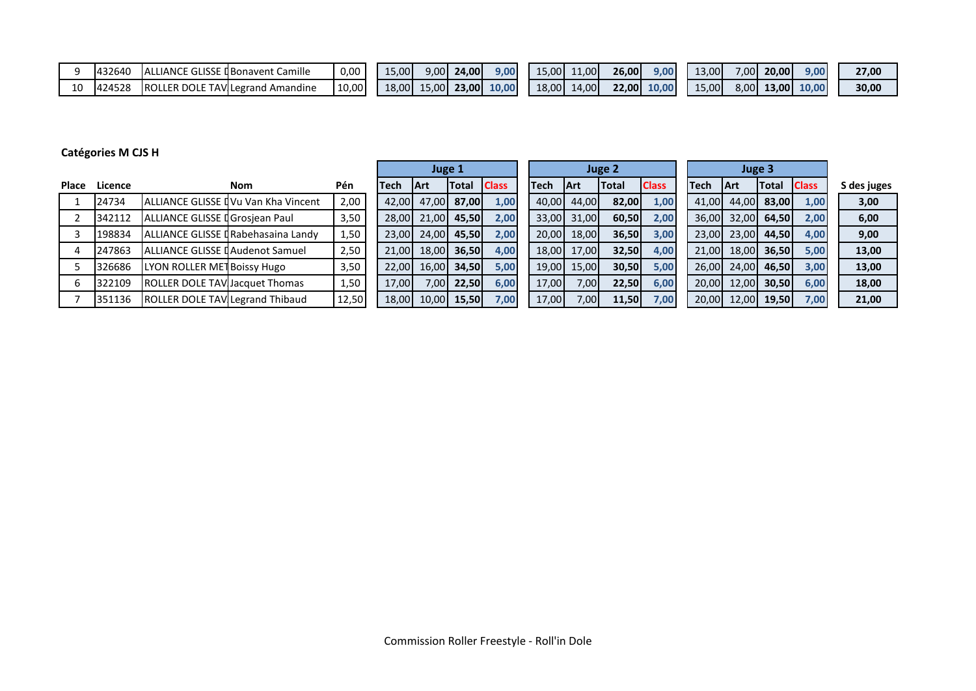| 432640 | ' IANCE<br>-IAL                          | .: GLISSE I Bonavent Camille | 0.00  | 15.00 | 9.OOI             | 24.00        | 9.00 | ا00.د   | 11.00   | <b>26.00</b> | 9.00  | 13.00 | 7.00  | 20,00 | 9.00  | 27,00 |
|--------|------------------------------------------|------------------------------|-------|-------|-------------------|--------------|------|---------|---------|--------------|-------|-------|-------|-------|-------|-------|
| 42452  | <b>IROLI</b><br><b>TAVIL</b><br>Ler dole | ' egrand<br>. Amandine       | 10,00 | 18.00 | 5.00 <sub>l</sub> | <b>23.00</b> | 0.00 | 18.00 l | 14.00 l | $22.00$ .    | 10.00 | 5.00  | 3,001 | 13.00 | 10.00 | 30,00 |

## **Catégories M CJS H**

|       |         |                                         |                                             |            | Juge 1 |             |              |              |        |       |             | <b>Juge 2</b> |              |       |       | Juge 3       |              |             |
|-------|---------|-----------------------------------------|---------------------------------------------|------------|--------|-------------|--------------|--------------|--------|-------|-------------|---------------|--------------|-------|-------|--------------|--------------|-------------|
| Place | Licence |                                         | <b>Nom</b>                                  | <b>Pén</b> | Tech   | <b>IArt</b> | <b>Total</b> | <b>Class</b> | lTech. |       | <b>IArt</b> | <b>Total</b>  | <b>Class</b> | Tech  | 1 Art | <b>Total</b> | <b>Class</b> | S des juges |
|       | 24734   |                                         | <b>JALLIANCE GLISSE IVu Van Kha Vincent</b> | 2,00       | 42.00  |             | 47,00 87,00  | 1,00         |        | 40,00 | 44,00       | 82,00         | 1,00         | 41,00 | 44,00 | 83,00        | 1,00         | 3,00        |
|       | 342112  | ALLIANCE GLISSE I Grosjean Paul         |                                             | 3,50       | 28,00  |             | 21,00 45,50  | 2,00         |        | 33,00 | 31,00       | 60,50         | 2,00         | 36.00 | 32.00 | 64.50        | 2,00         | 6,00        |
|       | 198834  |                                         | ALLIANCE GLISSE I Rabehasaina Landy         | 1,50       | 23,00  |             | 24,00 45,50  | 2,00         |        | 20,00 | 18,00       | 36,50         | 3,00         | 23.00 | 23,00 | 44.50        | 4,00         | 9,00        |
|       | 247863  | <b>JALLIANCE GLISSE LAudenot Samuel</b> |                                             | 2,50       | 21.00  |             | 18,00 36,50  | 4,00         |        | 18,00 | 17.00       | 32,50         | 4,00         | 21.00 | 18,00 | 36.50        | 5,00         | 13,00       |
|       | 326686  | LYON ROLLER MET Boissy Hugo             |                                             | 3,50       | 22,00  |             | 16,00 34,50  | 5,00         |        | 19,00 | 15,00       | 30,50         | 5,00         | 26.00 | 24,00 | 46,50        | 3,00         | 13,00       |
|       | 322109  | <b>ROLLER DOLE TAV Jacquet Thomas</b>   |                                             | 1,50       | 17,00  |             | 7,00 22,50   | 6,00         |        | 17,00 | 7,00        | 22,50         | 6,00         | 20.00 | 12.00 | <b>30.50</b> | 6,00         | 18,00       |
|       | 351136  | ROLLER DOLE TAV Legrand Thibaud         |                                             | 12,50      | 18,00  |             | 10,00 15,50  | 7,00         |        | 17,00 | 7,00        | 11,50         | 7,00         | 20.00 | 12.00 | 19,50        | 7,00         | 21,00       |

۰.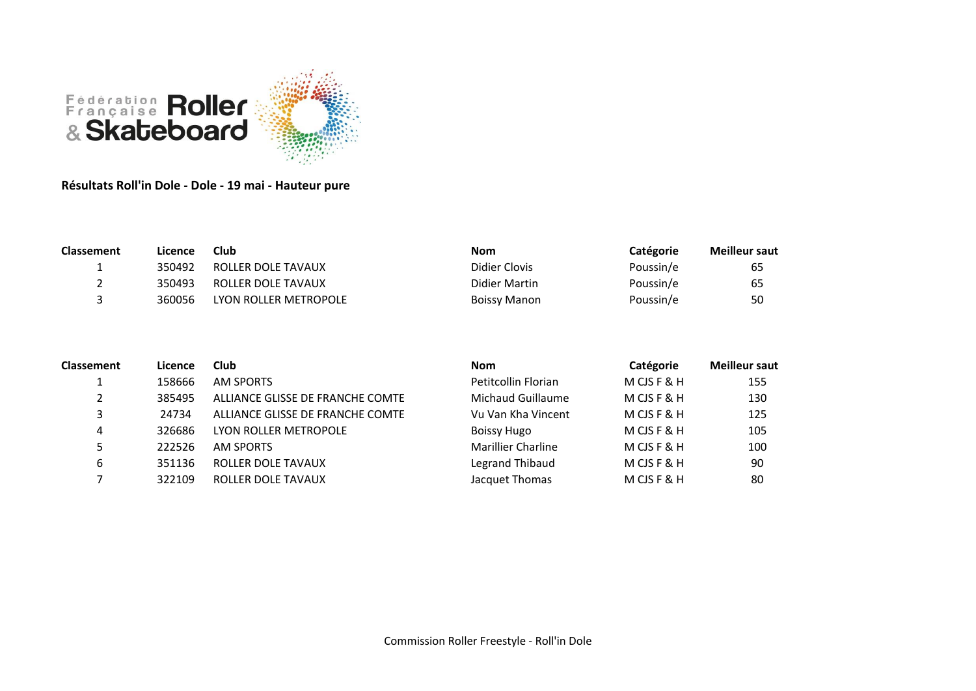

**Résultats Roll'in Dole - Dole - 19 mai - Hauteur pure**

| <b>Classement</b> | Licence | Club                  | <b>Nom</b>    | Catégorie | <b>Meilleur saut</b> |
|-------------------|---------|-----------------------|---------------|-----------|----------------------|
| <u>. на стр</u>   | 350492  | ROLLER DOLE TAVAUX    | Didier Clovis | Poussin/e | 65                   |
|                   | 350493  | ROLLER DOLE TAVAUX    | Didier Martin | Poussin/e | 65                   |
|                   | 360056  | LYON ROLLER METROPOLE | Boissy Manon  | Poussin/e | 50                   |

| <b>Classement</b> | Licence | Club                             | <b>Nom</b>                | Catégorie   | <b>Meilleur saut</b> |
|-------------------|---------|----------------------------------|---------------------------|-------------|----------------------|
|                   | 158666  | AM SPORTS                        | Petitcollin Florian       | M CJS F & H | 155                  |
| 2                 | 385495  | ALLIANCE GLISSE DE FRANCHE COMTE | Michaud Guillaume         | M CJS F & H | 130                  |
| 3                 | 24734   | ALLIANCE GLISSE DE FRANCHE COMTE | Vu Van Kha Vincent        | M CJS F & H | 125                  |
| 4                 | 326686  | LYON ROLLER METROPOLE            | <b>Boissy Hugo</b>        | M CJS F & H | 105                  |
| 5.                | 222526  | AM SPORTS                        | <b>Marillier Charline</b> | M CJS F & H | 100                  |
| 6                 | 351136  | ROLLER DOLE TAVAUX               | Legrand Thibaud           | M CJS F & H | 90                   |
|                   | 322109  | ROLLER DOLE TAVAUX               | Jacquet Thomas            | M CJS F & H | 80                   |